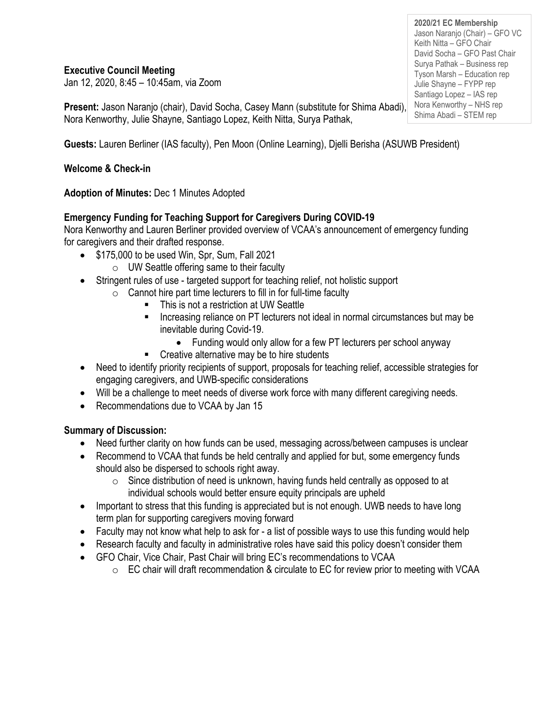#### **Executive Council Meeting**

Jan 12, 2020, 8:45 – 10:45am, via Zoom

**Present:** Jason Naranjo (chair), David Socha, Casey Mann (substitute for Shima Abadi), Nora Kenworthy, Julie Shayne, Santiago Lopez, Keith Nitta, Surya Pathak,

**Guests:** Lauren Berliner (IAS faculty), Pen Moon (Online Learning), Djelli Berisha (ASUWB President)

#### **Welcome & Check-in**

**Adoption of Minutes:** Dec 1 Minutes Adopted

# **Emergency Funding for Teaching Support for Caregivers During COVID-19**

Nora Kenworthy and Lauren Berliner provided overview of VCAA's announcement of emergency funding for caregivers and their drafted response.

- \$175,000 to be used Win, Spr, Sum, Fall 2021
	- $\circ$  UW Seattle offering same to their faculty
- Stringent rules of use targeted support for teaching relief, not holistic support
	- $\circ$  Cannot hire part time lecturers to fill in for full-time faculty
		- This is not a restriction at UW Seattle
		- Increasing reliance on PT lecturers not ideal in normal circumstances but may be inevitable during Covid-19.
			- Funding would only allow for a few PT lecturers per school anyway
		- Creative alternative may be to hire students
- Need to identify priority recipients of support, proposals for teaching relief, accessible strategies for engaging caregivers, and UWB-specific considerations
- Will be a challenge to meet needs of diverse work force with many different caregiving needs.
- Recommendations due to VCAA by Jan 15

# **Summary of Discussion:**

- Need further clarity on how funds can be used, messaging across/between campuses is unclear
- Recommend to VCAA that funds be held centrally and applied for but, some emergency funds should also be dispersed to schools right away.
	- o Since distribution of need is unknown, having funds held centrally as opposed to at individual schools would better ensure equity principals are upheld
- Important to stress that this funding is appreciated but is not enough. UWB needs to have long term plan for supporting caregivers moving forward
- Faculty may not know what help to ask for a list of possible ways to use this funding would help
- Research faculty and faculty in administrative roles have said this policy doesn't consider them
- GFO Chair, Vice Chair, Past Chair will bring EC's recommendations to VCAA
	- $\circ$  EC chair will draft recommendation & circulate to EC for review prior to meeting with VCAA

**2020/21 EC Membership** Jason Naranjo (Chair) – GFO VC Keith Nitta – GFO Chair David Socha – GFO Past Chair Surya Pathak – Business rep Tyson Marsh – Education rep Julie Shayne – FYPP rep Santiago Lopez – IAS rep Nora Kenworthy – NHS rep Shima Abadi – STEM rep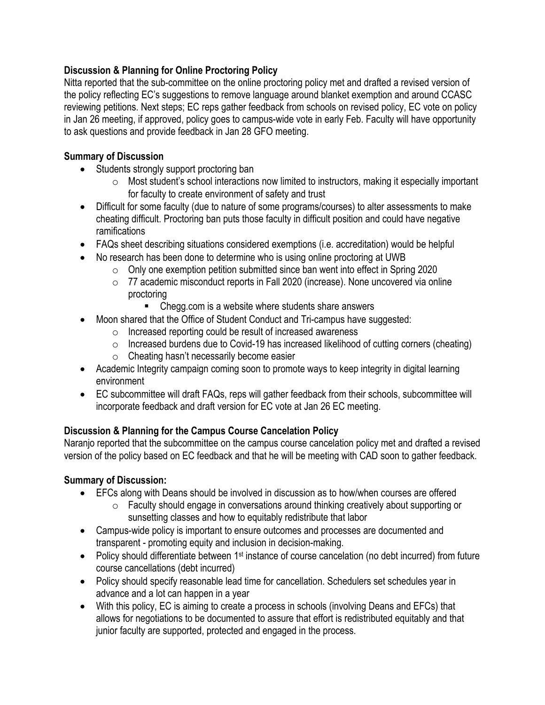# **Discussion & Planning for Online Proctoring Policy**

Nitta reported that the sub-committee on the online proctoring policy met and drafted a revised version of the policy reflecting EC's suggestions to remove language around blanket exemption and around CCASC reviewing petitions. Next steps; EC reps gather feedback from schools on revised policy, EC vote on policy in Jan 26 meeting, if approved, policy goes to campus-wide vote in early Feb. Faculty will have opportunity to ask questions and provide feedback in Jan 28 GFO meeting.

# **Summary of Discussion**

- Students strongly support proctoring ban
	- $\circ$  Most student's school interactions now limited to instructors, making it especially important for faculty to create environment of safety and trust
- Difficult for some faculty (due to nature of some programs/courses) to alter assessments to make cheating difficult. Proctoring ban puts those faculty in difficult position and could have negative ramifications
- FAQs sheet describing situations considered exemptions (i.e. accreditation) would be helpful
- No research has been done to determine who is using online proctoring at UWB
	- o Only one exemption petition submitted since ban went into effect in Spring 2020
	- o 77 academic misconduct reports in Fall 2020 (increase). None uncovered via online proctoring
		- Chegg.com is a website where students share answers
- Moon shared that the Office of Student Conduct and Tri-campus have suggested:
	- o Increased reporting could be result of increased awareness
	- o Increased burdens due to Covid-19 has increased likelihood of cutting corners (cheating)
	- o Cheating hasn't necessarily become easier
- Academic Integrity campaign coming soon to promote ways to keep integrity in digital learning environment
- EC subcommittee will draft FAQs, reps will gather feedback from their schools, subcommittee will incorporate feedback and draft version for EC vote at Jan 26 EC meeting.

# **Discussion & Planning for the Campus Course Cancelation Policy**

Naranjo reported that the subcommittee on the campus course cancelation policy met and drafted a revised version of the policy based on EC feedback and that he will be meeting with CAD soon to gather feedback.

# **Summary of Discussion:**

- EFCs along with Deans should be involved in discussion as to how/when courses are offered
	- o Faculty should engage in conversations around thinking creatively about supporting or sunsetting classes and how to equitably redistribute that labor
- Campus-wide policy is important to ensure outcomes and processes are documented and transparent - promoting equity and inclusion in decision-making.
- Policy should differentiate between 1<sup>st</sup> instance of course cancelation (no debt incurred) from future course cancellations (debt incurred)
- Policy should specify reasonable lead time for cancellation. Schedulers set schedules year in advance and a lot can happen in a year
- With this policy, EC is aiming to create a process in schools (involving Deans and EFCs) that allows for negotiations to be documented to assure that effort is redistributed equitably and that junior faculty are supported, protected and engaged in the process.